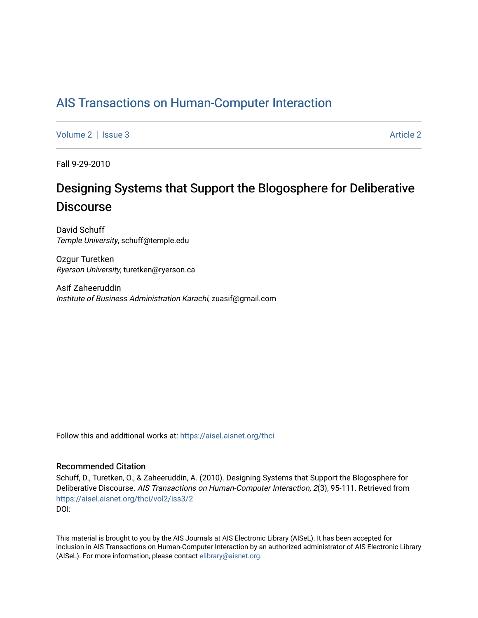## [AIS Transactions on Human-Computer Interaction](https://aisel.aisnet.org/thci)

[Volume 2](https://aisel.aisnet.org/thci/vol2) | [Issue 3](https://aisel.aisnet.org/thci/vol2/iss3) [Article 2](https://aisel.aisnet.org/thci/vol2/iss3/2) Article 2

Fall 9-29-2010

# Designing Systems that Support the Blogosphere for Deliberative **Discourse**

David Schuff Temple University, schuff@temple.edu

Ozgur Turetken Ryerson University, turetken@ryerson.ca

Asif Zaheeruddin Institute of Business Administration Karachi, zuasif@gmail.com

Follow this and additional works at: [https://aisel.aisnet.org/thci](https://aisel.aisnet.org/thci?utm_source=aisel.aisnet.org%2Fthci%2Fvol2%2Fiss3%2F2&utm_medium=PDF&utm_campaign=PDFCoverPages) 

## Recommended Citation

Schuff, D., Turetken, O., & Zaheeruddin, A. (2010). Designing Systems that Support the Blogosphere for Deliberative Discourse. AIS Transactions on Human-Computer Interaction, 2(3), 95-111. Retrieved from [https://aisel.aisnet.org/thci/vol2/iss3/2](https://aisel.aisnet.org/thci/vol2/iss3/2?utm_source=aisel.aisnet.org%2Fthci%2Fvol2%2Fiss3%2F2&utm_medium=PDF&utm_campaign=PDFCoverPages)  DOI:

This material is brought to you by the AIS Journals at AIS Electronic Library (AISeL). It has been accepted for inclusion in AIS Transactions on Human-Computer Interaction by an authorized administrator of AIS Electronic Library (AISeL). For more information, please contact [elibrary@aisnet.org](mailto:elibrary@aisnet.org%3E).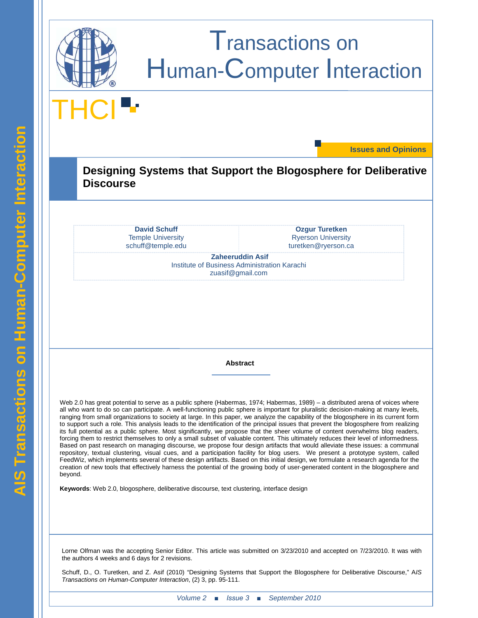

# Transactions on Human-Computer Interaction

THCI

**Issues and Opinions**

**Designing Systems that Support the Blogosphere for Deliberative Discourse**

> **David Schuff** schuff@temple.edu Temple University

**Ozgur Turetken** turetken@ryerson.ca Ryerson University

**Zaheeruddin Asif** Institute of Business Administration Karachi zuasif@gmail.com

**Abstract**

Web 2.0 has great potential to serve as a public sphere (Habermas, 1974; Habermas, 1989) – a distributed arena of voices where all who want to do so can participate. A well-functioning public sphere is important for pluralistic decision-making at many levels, ranging from small organizations to society at large. In this paper, we analyze the capability of the blogosphere in its current form to support such a role. This analysis leads to the identification of the principal issues that prevent the blogosphere from realizing its full potential as a public sphere. Most significantly, we propose that the sheer volume of content overwhelms blog readers, forcing them to restrict themselves to only a small subset of valuable content. This ultimately reduces their level of informedness. Based on past research on managing discourse, we propose four design artifacts that would alleviate these issues: a communal repository, textual clustering, visual cues, and a participation facility for blog users. We present a prototype system, called FeedWiz, which implements several of these design artifacts. Based on this initial design, we formulate a research agenda for the creation of new tools that effectively harness the potential of the growing body of user-generated content in the blogosphere and beyond.

**Keywords**: Web 2.0, blogosphere, deliberative discourse, text clustering, interface design

Lorne Olfman was the accepting Senior Editor. This article was submitted on 3/23/2010 and accepted on 7/23/2010. It was with the authors 4 weeks and 6 days for 2 revisions.

Schuff, D., O. Turetken, and Z. Asif (2010) "Designing Systems that Support the Blogosphere for Deliberative Discourse," A*IS Transactions on Human-Computer Interaction*, (2) 3, pp. 95-111.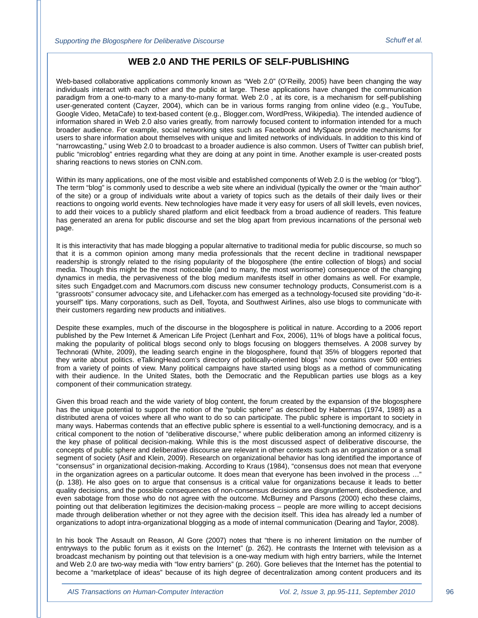## **WEB 2.0 AND THE PERILS OF SELF-PUBLISHING**

Web-based collaborative applications commonly known as "Web 2.0" (O'Reilly, 2005) have been changing the way individuals interact with each other and the public at large. These applications have changed the communication paradigm from a one-to-many to a many-to-many format. Web 2.0 , at its core, is a mechanism for self-publishing user-generated content (Cayzer, 2004), which can be in various forms ranging from online video (e.g., YouTube, Google Video, MetaCafe) to text-based content (e.g., Blogger.com, WordPress, Wikipedia). The intended audience of information shared in Web 2.0 also varies greatly, from narrowly focused content to information intended for a much broader audience. For example, social networking sites such as Facebook and MySpace provide mechanisms for users to share information about themselves with unique and limited networks of individuals. In addition to this kind of "narrowcasting," using Web 2.0 to broadcast to a broader audience is also common. Users of Twitter can publish brief, public "microblog" entries regarding what they are doing at any point in time. Another example is user-created posts sharing reactions to news stories on CNN.com.

Within its many applications, one of the most visible and established components of Web 2.0 is the weblog (or "blog"). The term "blog" is commonly used to describe a web site where an individual (typically the owner or the "main author" of the site) or a group of individuals write about a variety of topics such as the details of their daily lives or their reactions to ongoing world events. New technologies have made it very easy for users of all skill levels, even novices, to add their voices to a publicly shared platform and elicit feedback from a broad audience of readers. This feature has generated an arena for public discourse and set the blog apart from previous incarnations of the personal web page.

It is this interactivity that has made blogging a popular alternative to traditional media for public discourse, so much so that it is a common opinion among many media professionals that the recent decline in traditional newspaper readership is strongly related to the rising popularity of the blogosphere (the entire collection of blogs) and social media. Though this might be the most noticeable (and to many, the most worrisome) consequence of the changing dynamics in media, the pervasiveness of the blog medium manifests itself in other domains as well. For example, sites such Engadget.com and Macrumors.com discuss new consumer technology products, Consumerist.com is a "grassroots" consumer advocacy site, and Lifehacker.com has emerged as a technology-focused site providing "do-ityourself" tips. Many corporations, such as Dell, Toyota, and Southwest Airlines, also use blogs to communicate with their customers regarding new products and initiatives.

Despite these examples, much of the discourse in the blogosphere is political in nature. According to a 2006 report published by the Pew Internet & American Life Project (Lenhart and Fox, 2006), 11% of blogs have a political focus, making the popularity of political blogs second only to blogs focusing on bloggers themselves. A 2008 survey by Technorati (White, 2009), the leading search engine in the blogosphere, found that 35% of bloggers reported that they write about politics. eTalkingHead.com's directory of politically-oriented blogs[1](#page-16-0) now contains over 500 entries from a variety of points of view. Many political campaigns have started using blogs as a method of communicating with their audience. In the United States, both the Democratic and the Republican parties use blogs as a key component of their communication strategy.

Given this broad reach and the wide variety of blog content, the forum created by the expansion of the blogosphere has the unique potential to support the notion of the "public sphere" as described by Habermas (1974, 1989) as a distributed arena of voices where all who want to do so can participate. The public sphere is important to society in many ways. Habermas contends that an effective public sphere is essential to a well-functioning democracy, and is a critical component to the notion of "deliberative discourse," where public deliberation among an informed citizenry is the key phase of political decision-making. While this is the most discussed aspect of deliberative discourse, the concepts of public sphere and deliberative discourse are relevant in other contexts such as an organization or a small segment of society (Asif and Klein, 2009). Research on organizational behavior has long identified the importance of "consensus" in organizational decision-making. According to Kraus (1984), "consensus does not mean that everyone in the organization agrees on a particular outcome. It does mean that everyone has been involved in the process …" (p. 138). He also goes on to argue that consensus is a critical value for organizations because it leads to better quality decisions, and the possible consequences of non-consensus decisions are disgruntlement, disobedience, and even sabotage from those who do not agree with the outcome. McBurney and Parsons (2000) echo these claims, pointing out that deliberation legitimizes the decision-making process – people are more willing to accept decisions made through deliberation whether or not they agree with the decision itself. This idea has already led a number of organizations to adopt intra-organizational blogging as a mode of internal communication (Dearing and Taylor, 2008).

In his book The Assault on Reason, Al Gore (2007) notes that "there is no inherent limitation on the number of entryways to the public forum as it exists on the Internet" (p. 262). He contrasts the Internet with television as a broadcast mechanism by pointing out that television is a one-way medium with high entry barriers, while the Internet and Web 2.0 are two-way media with "low entry barriers" (p. 260). Gore believes that the Internet has the potential to become a "marketplace of ideas" because of its high degree of decentralization among content producers and its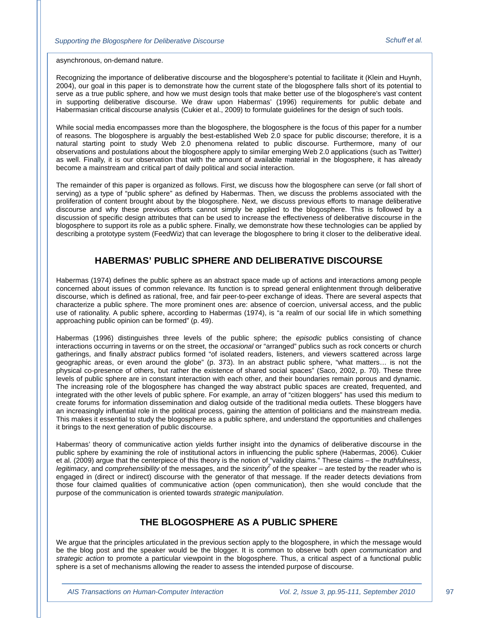asynchronous, on-demand nature.

Recognizing the importance of deliberative discourse and the blogosphere's potential to facilitate it (Klein and Huynh, 2004), our goal in this paper is to demonstrate how the current state of the blogosphere falls short of its potential to serve as a true public sphere, and how we must design tools that make better use of the blogosphere's vast content in supporting deliberative discourse. We draw upon Habermas' (1996) requirements for public debate and Habermasian critical discourse analysis (Cukier et al., 2009) to formulate guidelines for the design of such tools.

While social media encompasses more than the blogosphere, the blogosphere is the focus of this paper for a number of reasons. The blogosphere is arguably the best-established Web 2.0 space for public discourse; therefore, it is a natural starting point to study Web 2.0 phenomena related to public discourse. Furthermore, many of our observations and postulations about the blogosphere apply to similar emerging Web 2.0 applications (such as Twitter) as well. Finally, it is our observation that with the amount of available material in the blogosphere, it has already become a mainstream and critical part of daily political and social interaction.

The remainder of this paper is organized as follows. First, we discuss how the blogosphere can serve (or fall short of serving) as a type of "public sphere" as defined by Habermas. Then, we discuss the problems associated with the proliferation of content brought about by the blogosphere. Next, we discuss previous efforts to manage deliberative discourse and why these previous efforts cannot simply be applied to the blogosphere. This is followed by a discussion of specific design attributes that can be used to increase the effectiveness of deliberative discourse in the blogosphere to support its role as a public sphere. Finally, we demonstrate how these technologies can be applied by describing a prototype system (FeedWiz) that can leverage the blogosphere to bring it closer to the deliberative ideal.

## **HABERMAS' PUBLIC SPHERE AND DELIBERATIVE DISCOURSE**

Habermas (1974) defines the public sphere as an abstract space made up of actions and interactions among people concerned about issues of common relevance. Its function is to spread general enlightenment through deliberative discourse, which is defined as rational, free, and fair peer-to-peer exchange of ideas. There are several aspects that characterize a public sphere. The more prominent ones are: absence of coercion, universal access, and the public use of rationality. A public sphere, according to Habermas (1974), is "a realm of our social life in which something approaching public opinion can be formed" (p. 49).

Habermas (1996) distinguishes three levels of the public sphere; the *episodic* publics consisting of chance interactions occurring in taverns or on the street, the *occasional* or "arranged" publics such as rock concerts or church gatherings, and finally *abstract* publics formed "of isolated readers, listeners, and viewers scattered across large geographic areas, or even around the globe" (p. 373). In an abstract public sphere, "what matters… is not the physical co-presence of others, but rather the existence of shared social spaces" (Saco, 2002, p. 70). These three levels of public sphere are in constant interaction with each other, and their boundaries remain porous and dynamic. The increasing role of the blogosphere has changed the way abstract public spaces are created, frequented, and integrated with the other levels of public sphere. For example, an array of "citizen bloggers" has used this medium to create forums for information dissemination and dialog outside of the traditional media outlets. These bloggers have an increasingly influential role in the political process, gaining the attention of politicians and the mainstream media. This makes it essential to study the blogosphere as a public sphere, and understand the opportunities and challenges it brings to the next generation of public discourse.

Habermas' theory of communicative action yields further insight into the dynamics of deliberative discourse in the public sphere by examining the role of institutional actors in influencing the public sphere (Habermas, 2006). Cukier et al. (2009) argue that the centerpiece of this theory is the notion of "validity claims." These claims – the *truthfulness*, legitimacy, and *comprehensibility* of the messages, and the *sincerity*<sup>2</sup> of the speaker – are tested by the reader who is engaged in (direct or indirect) discourse with the generator of that message. If the reader detects deviations from those four claimed qualities of communicative action (open communication), then she would conclude that the purpose of the communication is oriented towards *strategic manipulation*.

## **THE BLOGOSPHERE AS A PUBLIC SPHERE**

We argue that the principles articulated in the previous section apply to the blogosphere, in which the message would be the blog post and the speaker would be the blogger. It is common to observe both *open communication* and *strategic action* to promote a particular viewpoint in the blogosphere. Thus, a critical aspect of a functional public sphere is a set of mechanisms allowing the reader to assess the intended purpose of discourse.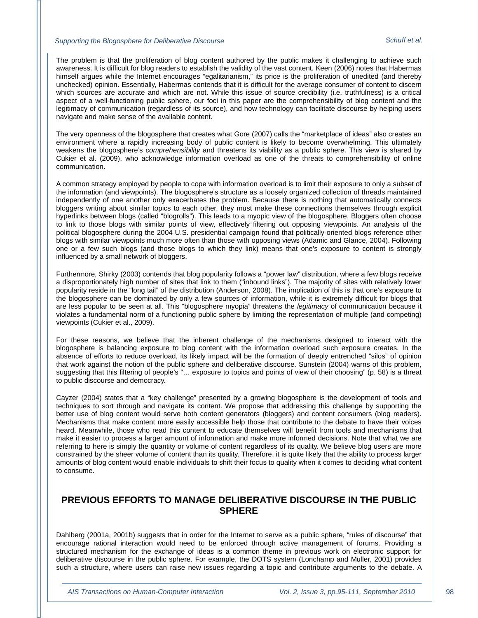The problem is that the proliferation of blog content authored by the public makes it challenging to achieve such awareness. It is difficult for blog readers to establish the validity of the vast content. Keen (2006) notes that Habermas himself argues while the Internet encourages "egalitarianism," its price is the proliferation of unedited (and thereby unchecked) opinion. Essentially, Habermas contends that it is difficult for the average consumer of content to discern which sources are accurate and which are not. While this issue of source credibility (i.e. truthfulness) is a critical aspect of a well-functioning public sphere, our foci in this paper are the comprehensibility of blog content and the legitimacy of communication (regardless of its source), and how technology can facilitate discourse by helping users navigate and make sense of the available content.

The very openness of the blogosphere that creates what Gore (2007) calls the "marketplace of ideas" also creates an environment where a rapidly increasing body of public content is likely to become overwhelming. This ultimately weakens the blogosphere's *comprehensibility* and threatens its viability as a public sphere. This view is shared by Cukier et al. (2009), who acknowledge information overload as one of the threats to comprehensibility of online communication.

A common strategy employed by people to cope with information overload is to limit their exposure to only a subset of the information (and viewpoints). The blogosphere's structure as a loosely organized collection of threads maintained independently of one another only exacerbates the problem. Because there is nothing that automatically connects bloggers writing about similar topics to each other, they must make these connections themselves through explicit hyperlinks between blogs (called "blogrolls"). This leads to a myopic view of the blogosphere. Bloggers often choose to link to those blogs with similar points of view, effectively filtering out opposing viewpoints. An analysis of the political blogosphere during the 2004 U.S. presidential campaign found that politically-oriented blogs reference other blogs with similar viewpoints much more often than those with opposing views (Adamic and Glance, 2004). Following one or a few such blogs (and those blogs to which they link) means that one's exposure to content is strongly influenced by a small network of bloggers.

Furthermore, Shirky (2003) contends that blog popularity follows a "power law" distribution, where a few blogs receive a disproportionately high number of sites that link to them ("inbound links"). The majority of sites with relatively lower popularity reside in the "long tail" of the distribution (Anderson, 2008). The implication of this is that one's exposure to the blogosphere can be dominated by only a few sources of information, while it is extremely difficult for blogs that are less popular to be seen at all. This "blogosphere myopia" threatens the *legitimacy* of communication because it violates a fundamental norm of a functioning public sphere by limiting the representation of multiple (and competing) viewpoints (Cukier et al., 2009).

For these reasons, we believe that the inherent challenge of the mechanisms designed to interact with the blogosphere is balancing exposure to blog content with the information overload such exposure creates. In the absence of efforts to reduce overload, its likely impact will be the formation of deeply entrenched "silos" of opinion that work against the notion of the public sphere and deliberative discourse. Sunstein (2004) warns of this problem, suggesting that this filtering of people's "… exposure to topics and points of view of their choosing" (p. 58) is a threat to public discourse and democracy.

Cayzer (2004) states that a "key challenge" presented by a growing blogosphere is the development of tools and techniques to sort through and navigate its content. We propose that addressing this challenge by supporting the better use of blog content would serve both content generators (bloggers) and content consumers (blog readers). Mechanisms that make content more easily accessible help those that contribute to the debate to have their voices heard. Meanwhile, those who read this content to educate themselves will benefit from tools and mechanisms that make it easier to process a larger amount of information and make more informed decisions. Note that what we are referring to here is simply the quantity or volume of content regardless of its quality. We believe blog users are more constrained by the sheer volume of content than its quality. Therefore, it is quite likely that the ability to process larger amounts of blog content would enable individuals to shift their focus to quality when it comes to deciding what content to consume.

## **PREVIOUS EFFORTS TO MANAGE DELIBERATIVE DISCOURSE IN THE PUBLIC SPHERE**

Dahlberg (2001a, 2001b) suggests that in order for the Internet to serve as a public sphere, "rules of discourse" that encourage rational interaction would need to be enforced through active management of forums. Providing a structured mechanism for the exchange of ideas is a common theme in previous work on electronic support for deliberative discourse in the public sphere. For example, the DOTS system (Lonchamp and Muller, 2001) provides such a structure, where users can raise new issues regarding a topic and contribute arguments to the debate. A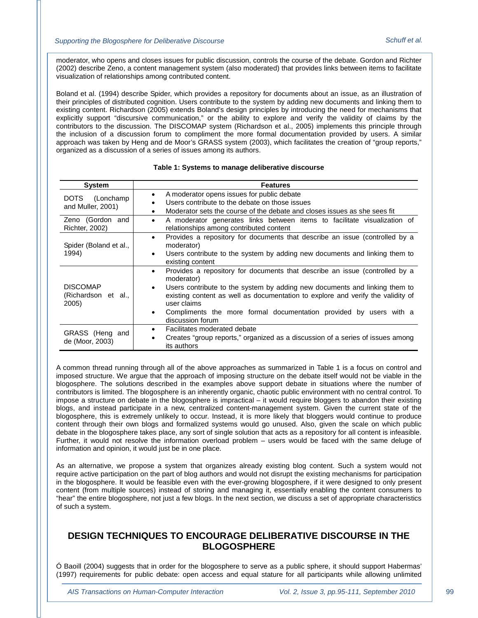moderator, who opens and closes issues for public discussion, controls the course of the debate. Gordon and Richter (2002) describe Zeno, a content management system (also moderated) that provides links between items to facilitate visualization of relationships among contributed content.

Boland et al. (1994) describe Spider, which provides a repository for documents about an issue, as an illustration of their principles of distributed cognition. Users contribute to the system by adding new documents and linking them to existing content. Richardson (2005) extends Boland's design principles by introducing the need for mechanisms that explicitly support "discursive communication," or the ability to explore and verify the validity of claims by the contributors to the discussion. The DISCOMAP system (Richardson et al., 2005) implements this principle through the inclusion of a discussion forum to compliment the more formal documentation provided by users. A similar approach was taken by Heng and de Moor's GRASS system (2003), which facilitates the creation of "group reports," organized as a discussion of a series of issues among its authors.

| <b>System</b>                                   | <b>Features</b>                                                                                                                                                                                                                                                                                                                                                                                            |
|-------------------------------------------------|------------------------------------------------------------------------------------------------------------------------------------------------------------------------------------------------------------------------------------------------------------------------------------------------------------------------------------------------------------------------------------------------------------|
| DOTS (Lonchamp<br>and Muller, 2001)             | A moderator opens issues for public debate<br>$\bullet$<br>Users contribute to the debate on those issues<br>Moderator sets the course of the debate and closes issues as she sees fit<br>٠                                                                                                                                                                                                                |
| Zeno (Gordon and<br><b>Richter, 2002)</b>       | A moderator generates links between items to facilitate visualization of<br>$\bullet$<br>relationships among contributed content                                                                                                                                                                                                                                                                           |
| Spider (Boland et al.,<br>1994)                 | Provides a repository for documents that describe an issue (controlled by a<br>$\bullet$<br>moderator)<br>Users contribute to the system by adding new documents and linking them to<br>$\bullet$<br>existing content                                                                                                                                                                                      |
| <b>DISCOMAP</b><br>(Richardson et al.,<br>2005) | Provides a repository for documents that describe an issue (controlled by a<br>$\bullet$<br>moderator)<br>Users contribute to the system by adding new documents and linking them to<br>$\bullet$<br>existing content as well as documentation to explore and verify the validity of<br>user claims<br>Compliments the more formal documentation provided by users with a<br>$\bullet$<br>discussion forum |
| GRASS (Heng and<br>de (Moor, 2003)              | Facilitates moderated debate<br>$\bullet$<br>Creates "group reports," organized as a discussion of a series of issues among<br>its authors                                                                                                                                                                                                                                                                 |

#### **Table 1: Systems to manage deliberative discourse**

A common thread running through all of the above approaches as summarized in Table 1 is a focus on control and imposed structure. We argue that the approach of imposing structure on the debate itself would not be viable in the blogosphere. The solutions described in the examples above support debate in situations where the number of contributors is limited. The blogosphere is an inherently organic, chaotic public environment with no central control. To impose a structure on debate in the blogosphere is impractical – it would require bloggers to abandon their existing blogs, and instead participate in a new, centralized content-management system. Given the current state of the blogosphere, this is extremely unlikely to occur. Instead, it is more likely that bloggers would continue to produce content through their own blogs and formalized systems would go unused. Also, given the scale on which public debate in the blogosphere takes place, any sort of single solution that acts as a repository for all content is infeasible. Further, it would not resolve the information overload problem – users would be faced with the same deluge of information and opinion, it would just be in one place.

As an alternative, we propose a system that organizes already existing blog content. Such a system would not require active participation on the part of blog authors and would not disrupt the existing mechanisms for participation in the blogosphere. It would be feasible even with the ever-growing blogosphere, if it were designed to only present content (from multiple sources) instead of storing and managing it, essentially enabling the content consumers to "hear" the entire blogosphere, not just a few blogs. In the next section, we discuss a set of appropriate characteristics of such a system.

## **DESIGN TECHNIQUES TO ENCOURAGE DELIBERATIVE DISCOURSE IN THE BLOGOSPHERE**

Ó Baoill (2004) suggests that in order for the blogosphere to serve as a public sphere, it should support Habermas' (1997) requirements for public debate: open access and equal stature for all participants while allowing unlimited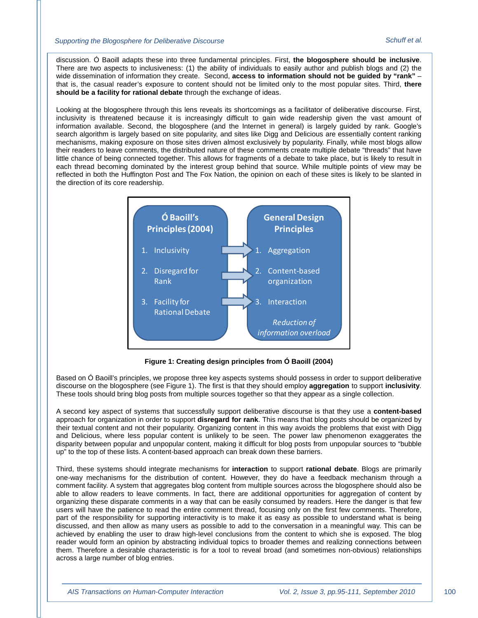discussion. Ó Baoill adapts these into three fundamental principles. First, **the blogosphere should be inclusive**. There are two aspects to inclusiveness: (1) the ability of individuals to easily author and publish blogs and (2) the wide dissemination of information they create. Second, **access to information should not be guided by "rank"** – that is, the casual reader's exposure to content should not be limited only to the most popular sites. Third, **there should be a facility for rational debate** through the exchange of ideas.

Looking at the blogosphere through this lens reveals its shortcomings as a facilitator of deliberative discourse. First, inclusivity is threatened because it is increasingly difficult to gain wide readership given the vast amount of information available. Second, the blogosphere (and the Internet in general) is largely guided by rank. Google's search algorithm is largely based on site popularity, and sites like Digg and Delicious are essentially content ranking mechanisms, making exposure on those sites driven almost exclusively by popularity. Finally, while most blogs allow their readers to leave comments, the distributed nature of these comments create multiple debate "threads" that have little chance of being connected together. This allows for fragments of a debate to take place, but is likely to result in each thread becoming dominated by the interest group behind that source. While multiple points of view may be reflected in both the Huffington Post and The Fox Nation, the opinion on each of these sites is likely to be slanted in the direction of its core readership.



**Figure 1: Creating design principles from Ó Baoill (2004)**

Based on Ó Baoill's principles, we propose three key aspects systems should possess in order to support deliberative discourse on the blogosphere (see Figure 1). The first is that they should employ **aggregation** to support **inclusivity**. These tools should bring blog posts from multiple sources together so that they appear as a single collection.

A second key aspect of systems that successfully support deliberative discourse is that they use a **content-based** approach for organization in order to support **disregard for rank**. This means that blog posts should be organized by their textual content and not their popularity. Organizing content in this way avoids the problems that exist with Digg and Delicious, where less popular content is unlikely to be seen. The power law phenomenon exaggerates the disparity between popular and unpopular content, making it difficult for blog posts from unpopular sources to "bubble up" to the top of these lists. A content-based approach can break down these barriers.

Third, these systems should integrate mechanisms for **interaction** to support **rational debate**. Blogs are primarily one-way mechanisms for the distribution of content. However, they do have a feedback mechanism through a comment facility. A system that aggregates blog content from multiple sources across the blogosphere should also be able to allow readers to leave comments. In fact, there are additional opportunities for aggregation of content by organizing these disparate comments in a way that can be easily consumed by readers. Here the danger is that few users will have the patience to read the entire comment thread, focusing only on the first few comments. Therefore, part of the responsibility for supporting interactivity is to make it as easy as possible to understand what is being discussed, and then allow as many users as possible to add to the conversation in a meaningful way. This can be achieved by enabling the user to draw high-level conclusions from the content to which she is exposed. The blog reader would form an opinion by abstracting individual topics to broader themes and realizing connections between them. Therefore a desirable characteristic is for a tool to reveal broad (and sometimes non-obvious) relationships across a large number of blog entries.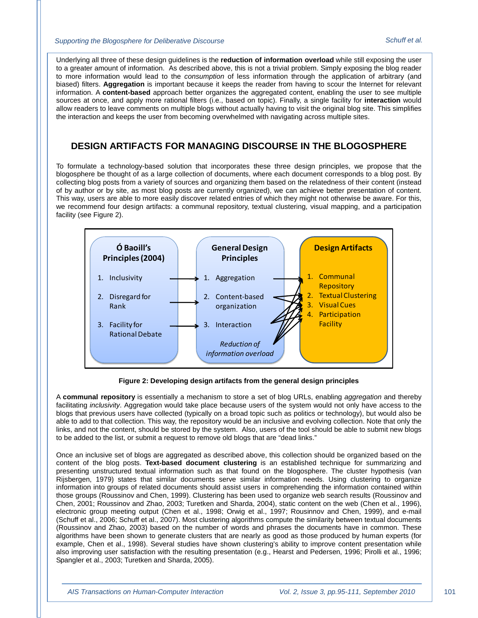Underlying all three of these design guidelines is the **reduction of information overload** while still exposing the user to a greater amount of information. As described above, this is not a trivial problem. Simply exposing the blog reader to more information would lead to the *consumption* of less information through the application of arbitrary (and biased) filters. **Aggregation** is important because it keeps the reader from having to scour the Internet for relevant information. A **content-based** approach better organizes the aggregated content, enabling the user to see multiple sources at once, and apply more rational filters (i.e., based on topic). Finally, a single facility for **interaction** would allow readers to leave comments on multiple blogs without actually having to visit the original blog site. This simplifies the interaction and keeps the user from becoming overwhelmed with navigating across multiple sites.

## **DESIGN ARTIFACTS FOR MANAGING DISCOURSE IN THE BLOGOSPHERE**

To formulate a technology-based solution that incorporates these three design principles, we propose that the blogosphere be thought of as a large collection of documents, where each document corresponds to a blog post. By collecting blog posts from a variety of sources and organizing them based on the relatedness of their content (instead of by author or by site, as most blog posts are currently organized), we can achieve better presentation of content. This way, users are able to more easily discover related entries of which they might not otherwise be aware. For this, we recommend four design artifacts: a communal repository, textual clustering, visual mapping, and a participation facility (see Figure 2).



**Figure 2: Developing design artifacts from the general design principles**

A **communal repository** is essentially a mechanism to store a set of blog URLs, enabling *aggregation* and thereby facilitating *inclusivity*. Aggregation would take place because users of the system would not only have access to the blogs that previous users have collected (typically on a broad topic such as politics or technology), but would also be able to add to that collection. This way, the repository would be an inclusive and evolving collection. Note that only the links, and not the content, should be stored by the system. Also, users of the tool should be able to submit new blogs to be added to the list, or submit a request to remove old blogs that are "dead links."

Once an inclusive set of blogs are aggregated as described above, this collection should be organized based on the content of the blog posts. **Text-based document clustering** is an established technique for summarizing and presenting unstructured textual information such as that found on the blogosphere. The cluster hypothesis (van Rijsbergen, 1979) states that similar documents serve similar information needs. Using clustering to organize information into groups of related documents should assist users in comprehending the information contained within those groups (Roussinov and Chen, 1999). Clustering has been used to organize web search results (Roussinov and Chen, 2001; Roussinov and Zhao, 2003; Turetken and Sharda, 2004), static content on the web (Chen et al., 1996), electronic group meeting output (Chen et al., 1998; Orwig et al., 1997; Rousinnov and Chen, 1999), and e-mail (Schuff et al., 2006; Schuff et al., 2007). Most clustering algorithms compute the similarity between textual documents (Roussinov and Zhao, 2003) based on the number of words and phrases the documents have in common. These algorithms have been shown to generate clusters that are nearly as good as those produced by human experts (for example, Chen et al., 1998). Several studies have shown clustering's ability to improve content presentation while also improving user satisfaction with the resulting presentation (e.g., Hearst and Pedersen, 1996; Pirolli et al., 1996; Spangler et al., 2003; Turetken and Sharda, 2005).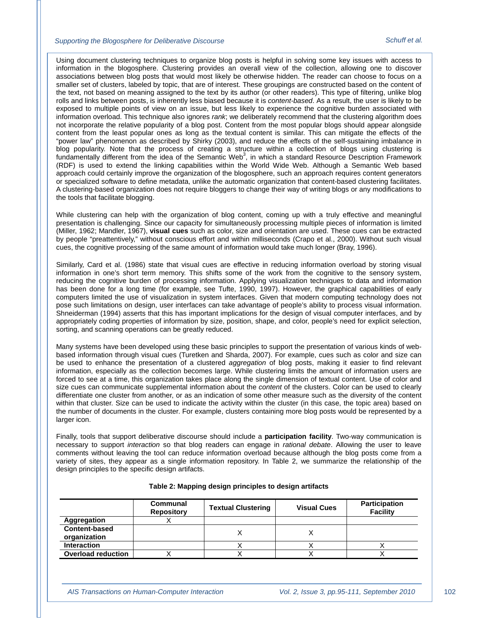Using document clustering techniques to organize blog posts is helpful in solving some key issues with access to information in the blogosphere. Clustering provides an overall view of the collection, allowing one to discover associations between blog posts that would most likely be otherwise hidden. The reader can choose to focus on a smaller set of clusters, labeled by topic, that are of interest. These groupings are constructed based on the content of the text, not based on meaning assigned to the text by its author (or other readers). This type of filtering, unlike blog rolls and links between posts, is inherently less biased because it is *content-based*. As a result, the user is likely to be exposed to multiple points of view on an issue, but less likely to experience the cognitive burden associated with information overload. This technique also ignores *rank*; we deliberately recommend that the clustering algorithm does not incorporate the relative popularity of a blog post. Content from the most popular blogs should appear alongside content from the least popular ones as long as the textual content is similar. This can mitigate the effects of the "power law" phenomenon as described by Shirky (2003), and reduce the effects of the self-sustaining imbalance in blog popularity. Note that the process of creating a structure within a collection of blogs using clustering is fundamentally different from the idea of the Semantic Web<sup>3</sup>, in which a standard Resource Description Framework (RDF) is used to extend the linking capabilities within the World Wide Web. Although a Semantic Web based approach could certainly improve the organization of the blogosphere, such an approach requires content generators or specialized software to define metadata, unlike the automatic organization that content-based clustering facilitates. A clustering-based organization does not require bloggers to change their way of writing blogs or any modifications to the tools that facilitate blogging.

While clustering can help with the organization of blog content, coming up with a truly effective and meaningful presentation is challenging. Since our capacity for simultaneously processing multiple pieces of information is limited (Miller, 1962; Mandler, 1967), **visual cues** such as color, size and orientation are used. These cues can be extracted by people "preattentively," without conscious effort and within milliseconds (Crapo et al., 2000). Without such visual cues, the cognitive processing of the same amount of information would take much longer (Bray, 1996).

Similarly, Card et al. (1986) state that visual cues are effective in reducing information overload by storing visual information in one's short term memory. This shifts some of the work from the cognitive to the sensory system, reducing the cognitive burden of processing information. Applying visualization techniques to data and information has been done for a long time (for example, see Tufte, 1990, 1997). However, the graphical capabilities of early computers limited the use of visualization in system interfaces. Given that modern computing technology does not pose such limitations on design, user interfaces can take advantage of people's ability to process visual information. Shneiderman (1994) asserts that this has important implications for the design of visual computer interfaces, and by appropriately coding properties of information by size, position, shape, and color, people's need for explicit selection, sorting, and scanning operations can be greatly reduced.

Many systems have been developed using these basic principles to support the presentation of various kinds of webbased information through visual cues (Turetken and Sharda, 2007). For example, cues such as color and size can be used to enhance the presentation of a clustered *aggregation* of blog posts, making it easier to find relevant information, especially as the collection becomes large. While clustering limits the amount of information users are forced to see at a time, this organization takes place along the single dimension of textual content. Use of color and size cues can communicate supplemental information about the *content* of the clusters. Color can be used to clearly differentiate one cluster from another, or as an indication of some other measure such as the diversity of the content within that cluster. Size can be used to indicate the activity within the cluster (in this case, the topic area) based on the number of documents in the cluster. For example, clusters containing more blog posts would be represented by a larger icon.

Finally, tools that support deliberative discourse should include a **participation facility**. Two-way communication is necessary to support *interaction* so that blog readers can engage in *rational debate*. Allowing the user to leave comments without leaving the tool can reduce information overload because although the blog posts come from a variety of sites, they appear as a single information repository. In Table 2, we summarize the relationship of the design principles to the specific design artifacts.

|                           | Communal<br><b>Repository</b> | <b>Textual Clustering</b> | <b>Visual Cues</b> | <b>Participation</b><br><b>Facility</b> |
|---------------------------|-------------------------------|---------------------------|--------------------|-----------------------------------------|
| Aggregation               |                               |                           |                    |                                         |
| <b>Content-based</b>      |                               |                           |                    |                                         |
| organization              |                               |                           |                    |                                         |
| <b>Interaction</b>        |                               |                           |                    |                                         |
| <b>Overload reduction</b> |                               |                           |                    |                                         |

#### **Table 2: Mapping design principles to design artifacts**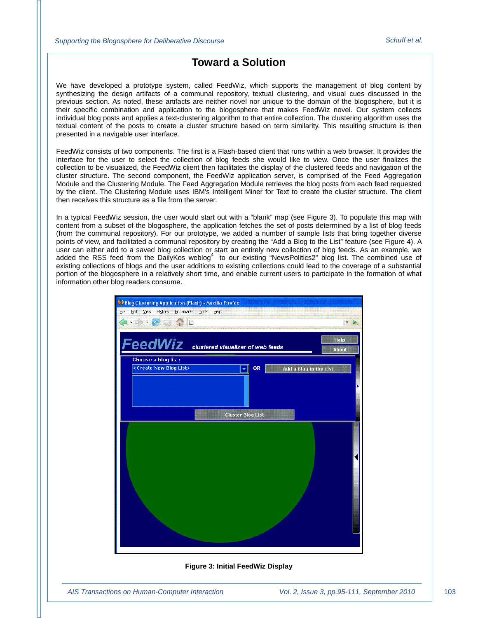## **Toward a Solution**

We have developed a prototype system, called FeedWiz, which supports the management of blog content by synthesizing the design artifacts of a communal repository, textual clustering, and visual cues discussed in the previous section. As noted, these artifacts are neither novel nor unique to the domain of the blogosphere, but it is their specific combination and application to the blogosphere that makes FeedWiz novel. Our system collects individual blog posts and applies a text-clustering algorithm to that entire collection. The clustering algorithm uses the textual content of the posts to create a cluster structure based on term similarity. This resulting structure is then presented in a navigable user interface.

FeedWiz consists of two components. The first is a Flash-based client that runs within a web browser. It provides the interface for the user to select the collection of blog feeds she would like to view. Once the user finalizes the collection to be visualized, the FeedWiz client then facilitates the display of the clustered feeds and navigation of the cluster structure. The second component, the FeedWiz application server, is comprised of the Feed Aggregation Module and the Clustering Module. The Feed Aggregation Module retrieves the blog posts from each feed requested by the client. The Clustering Module uses IBM's Intelligent Miner for Text to create the cluster structure. The client then receives this structure as a file from the server.

In a typical FeedWiz session, the user would start out with a "blank" map (see Figure 3). To populate this map with content from a subset of the blogosphere, the application fetches the set of posts determined by a list of blog feeds (from the communal repository). For our prototype, we added a number of sample lists that bring together diverse points of view, and facilitated a communal repository by creating the "Add a Blog to the List" feature (see Figure 4). A user can either add to a saved blog collection or start an entirely new collection of blog feeds. As an example, we added the RSS feed from the DailyKos weblog<sup>4</sup> to our existing "NewsPolitics2" blog list. The combined use of existing collections of blogs and the user additions to existing collections could lead to the coverage of a substantial portion of the blogosphere in a relatively short time, and enable current users to participate in the formation of what information other blog readers consume.



#### **Figure 3: Initial FeedWiz Display**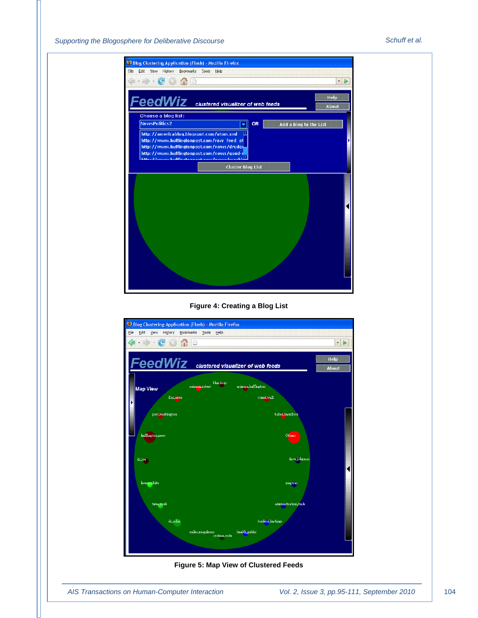





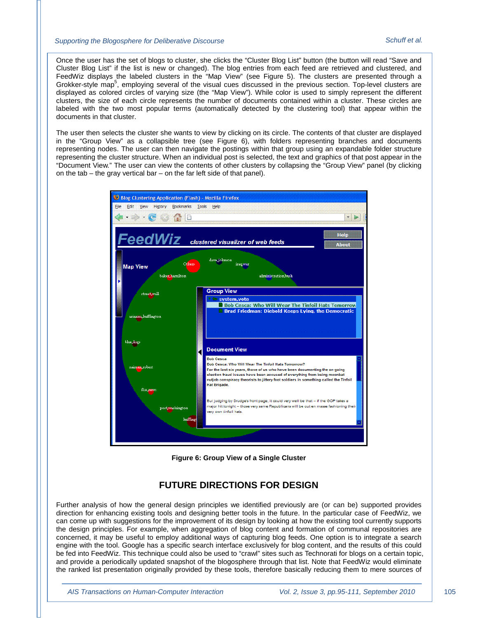Once the user has the set of blogs to cluster, she clicks the "Cluster Blog List" button (the button will read "Save and Cluster Blog List" if the list is new or changed). The blog entries from each feed are retrieved and clustered, and FeedWiz displays the labeled clusters in the "Map View" (see Figure 5). The clusters are presented through a Grokker-style map<sup>5</sup>, employing several of the visual cues discussed in the previous section. Top-level clusters are displayed as colored circles of varying size (the "Map View"). While color is used to simply represent the different clusters, the size of each circle represents the number of documents contained within a cluster. These circles are labeled with the two most popular terms (automatically detected by the clustering tool) that appear within the documents in that cluster.

The user then selects the cluster she wants to view by clicking on its circle. The contents of that cluster are displayed in the "Group View" as a collapsible tree (see Figure 6), with folders representing branches and documents representing nodes. The user can then navigate the postings within that group using an expandable folder structure representing the cluster structure. When an individual post is selected, the text and graphics of that post appear in the "Document View." The user can view the contents of other clusters by collapsing the "Group View" panel (by clicking on the tab – the gray vertical bar – on the far left side of that panel).



**Figure 6: Group View of a Single Cluster**

## **FUTURE DIRECTIONS FOR DESIGN**

Further analysis of how the general design principles we identified previously are (or can be) supported provides direction for enhancing existing tools and designing better tools in the future. In the particular case of FeedWiz, we can come up with suggestions for the improvement of its design by looking at how the existing tool currently supports the design principles. For example, when aggregation of blog content and formation of communal repositories are concerned, it may be useful to employ additional ways of capturing blog feeds. One option is to integrate a search engine with the tool. Google has a specific search interface exclusively for blog content, and the results of this could be fed into FeedWiz. This technique could also be used to "crawl" sites such as Technorati for blogs on a certain topic, and provide a periodically updated snapshot of the blogosphere through that list. Note that FeedWiz would eliminate the ranked list presentation originally provided by these tools, therefore basically reducing them to mere sources of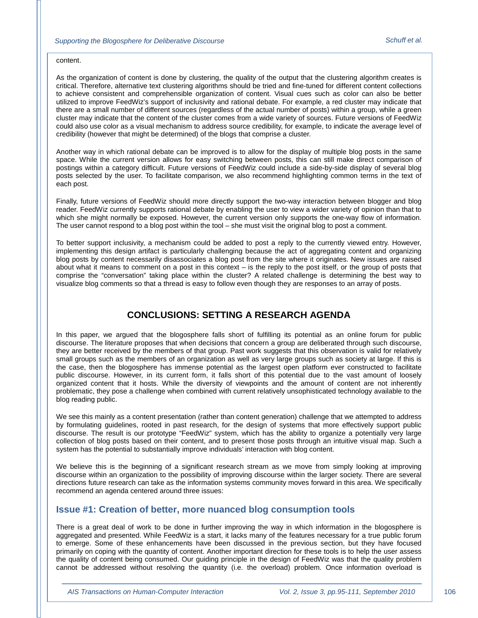#### content.

As the organization of content is done by clustering, the quality of the output that the clustering algorithm creates is critical. Therefore, alternative text clustering algorithms should be tried and fine-tuned for different content collections to achieve consistent and comprehensible organization of content. Visual cues such as color can also be better utilized to improve FeedWiz's support of inclusivity and rational debate. For example, a red cluster may indicate that there are a small number of different sources (regardless of the actual number of posts) within a group, while a green cluster may indicate that the content of the cluster comes from a wide variety of sources. Future versions of FeedWiz could also use color as a visual mechanism to address source credibility, for example, to indicate the average level of credibility (however that might be determined) of the blogs that comprise a cluster.

Another way in which rational debate can be improved is to allow for the display of multiple blog posts in the same space. While the current version allows for easy switching between posts, this can still make direct comparison of postings within a category difficult. Future versions of FeedWiz could include a side-by-side display of several blog posts selected by the user. To facilitate comparison, we also recommend highlighting common terms in the text of each post.

Finally, future versions of FeedWiz should more directly support the two-way interaction between blogger and blog reader. FeedWiz currently supports rational debate by enabling the user to view a wider variety of opinion than that to which she might normally be exposed. However, the current version only supports the one-way flow of information. The user cannot respond to a blog post within the tool – she must visit the original blog to post a comment.

To better support inclusivity, a mechanism could be added to post a reply to the currently viewed entry. However, implementing this design artifact is particularly challenging because the act of aggregating content and organizing blog posts by content necessarily disassociates a blog post from the site where it originates. New issues are raised about what it means to comment on a post in this context – is the reply to the post itself, or the group of posts that comprise the "conversation" taking place within the cluster? A related challenge is determining the best way to visualize blog comments so that a thread is easy to follow even though they are responses to an array of posts.

## **CONCLUSIONS: SETTING A RESEARCH AGENDA**

In this paper, we argued that the blogosphere falls short of fulfilling its potential as an online forum for public discourse. The literature proposes that when decisions that concern a group are deliberated through such discourse, they are better received by the members of that group. Past work suggests that this observation is valid for relatively small groups such as the members of an organization as well as very large groups such as society at large. If this is the case, then the blogosphere has immense potential as the largest open platform ever constructed to facilitate public discourse. However, in its current form, it falls short of this potential due to the vast amount of loosely organized content that it hosts. While the diversity of viewpoints and the amount of content are not inherently problematic, they pose a challenge when combined with current relatively unsophisticated technology available to the blog reading public.

We see this mainly as a content presentation (rather than content generation) challenge that we attempted to address by formulating guidelines, rooted in past research, for the design of systems that more effectively support public discourse. The result is our prototype "FeedWiz" system, which has the ability to organize a potentially very large collection of blog posts based on their content, and to present those posts through an intuitive visual map. Such a system has the potential to substantially improve individuals' interaction with blog content.

We believe this is the beginning of a significant research stream as we move from simply looking at improving discourse within an organization to the possibility of improving discourse within the larger society. There are several directions future research can take as the information systems community moves forward in this area. We specifically recommend an agenda centered around three issues:

## **Issue #1: Creation of better, more nuanced blog consumption tools**

There is a great deal of work to be done in further improving the way in which information in the blogosphere is aggregated and presented. While FeedWiz is a start, it lacks many of the features necessary for a true public forum to emerge. Some of these enhancements have been discussed in the previous section, but they have focused primarily on coping with the quantity of content. Another important direction for these tools is to help the user assess the quality of content being consumed. Our guiding principle in the design of FeedWiz was that the quality problem cannot be addressed without resolving the quantity (i.e. the overload) problem. Once information overload is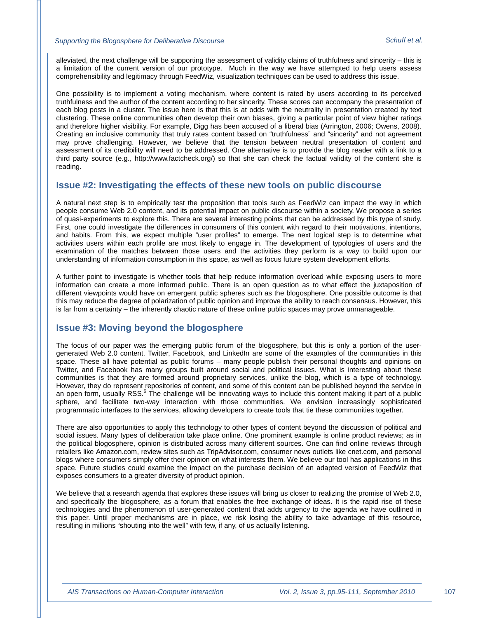alleviated, the next challenge will be supporting the assessment of validity claims of truthfulness and sincerity – this is a limitation of the current version of our prototype. Much in the way we have attempted to help users assess comprehensibility and legitimacy through FeedWiz, visualization techniques can be used to address this issue.

One possibility is to implement a voting mechanism, where content is rated by users according to its perceived truthfulness and the author of the content according to her sincerity. These scores can accompany the presentation of each blog posts in a cluster. The issue here is that this is at odds with the neutrality in presentation created by text clustering. These online communities often develop their own biases, giving a particular point of view higher ratings and therefore higher visibility. For example, Digg has been accused of a liberal bias (Arrington, 2006; Owens, 2008). Creating an inclusive community that truly rates content based on "truthfulness" and "sincerity" and not agreement may prove challenging. However, we believe that the tension between neutral presentation of content and assessment of its credibility will need to be addressed. One alternative is to provide the blog reader with a link to a third party source (e.g., http://www.factcheck.org/) so that she can check the factual validity of the content she is reading.

## **Issue #2: Investigating the effects of these new tools on public discourse**

A natural next step is to empirically test the proposition that tools such as FeedWiz can impact the way in which people consume Web 2.0 content, and its potential impact on public discourse within a society. We propose a series of quasi-experiments to explore this. There are several interesting points that can be addressed by this type of study. First, one could investigate the differences in consumers of this content with regard to their motivations, intentions, and habits. From this, we expect multiple "user profiles" to emerge. The next logical step is to determine what activities users within each profile are most likely to engage in. The development of typologies of users and the examination of the matches between those users and the activities they perform is a way to build upon our understanding of information consumption in this space, as well as focus future system development efforts.

A further point to investigate is whether tools that help reduce information overload while exposing users to more information can create a more informed public. There is an open question as to what effect the juxtaposition of different viewpoints would have on emergent public spheres such as the blogosphere. One possible outcome is that this may reduce the degree of polarization of public opinion and improve the ability to reach consensus. However, this is far from a certainty – the inherently chaotic nature of these online public spaces may prove unmanageable.

## **Issue #3: Moving beyond the blogosphere**

The focus of our paper was the emerging public forum of the blogosphere, but this is only a portion of the usergenerated Web 2.0 content. Twitter, Facebook, and LinkedIn are some of the examples of the communities in this space. These all have potential as public forums – many people publish their personal thoughts and opinions on Twitter, and Facebook has many groups built around social and political issues. What is interesting about these communities is that they are formed around proprietary services, unlike the blog, which is a type of technology. However, they do represent repositories of content, and some of this content can be published beyond the service in an open form, usually RSS.<sup>6</sup> The challenge will be innovating ways to include this content making it part of a public sphere, and facilitate two-way interaction with those communities. We envision increasingly sophisticated programmatic interfaces to the services, allowing developers to create tools that tie these communities together.

There are also opportunities to apply this technology to other types of content beyond the discussion of political and social issues. Many types of deliberation take place online. One prominent example is online product reviews; as in the political blogosphere, opinion is distributed across many different sources. One can find online reviews through retailers like Amazon.com, review sites such as TripAdvisor.com, consumer news outlets like cnet.com, and personal blogs where consumers simply offer their opinion on what interests them. We believe our tool has applications in this space. Future studies could examine the impact on the purchase decision of an adapted version of FeedWiz that exposes consumers to a greater diversity of product opinion.

We believe that a research agenda that explores these issues will bring us closer to realizing the promise of Web 2.0, and specifically the blogosphere, as a forum that enables the free exchange of ideas. It is the rapid rise of these technologies and the phenomenon of user-generated content that adds urgency to the agenda we have outlined in this paper. Until proper mechanisms are in place, we risk losing the ability to take advantage of this resource, resulting in millions "shouting into the well" with few, if any, of us actually listening.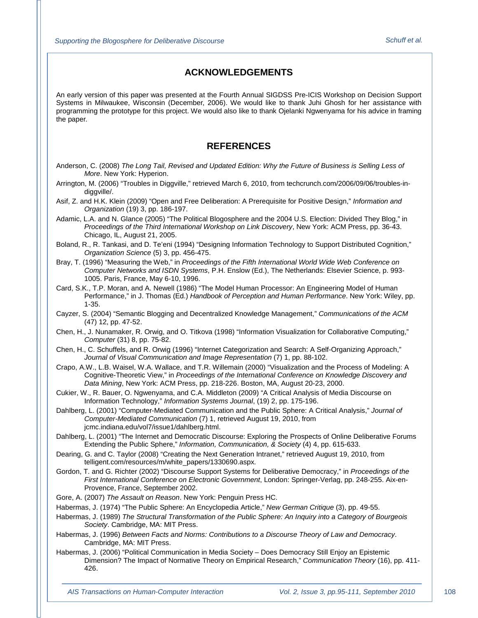## **ACKNOWLEDGEMENTS**

An early version of this paper was presented at the Fourth Annual SIGDSS Pre-ICIS Workshop on Decision Support Systems in Milwaukee, Wisconsin (December, 2006). We would like to thank Juhi Ghosh for her assistance with programming the prototype for this project. We would also like to thank Ojelanki Ngwenyama for his advice in framing the paper.

## **REFERENCES**

- Anderson, C. (2008) *The Long Tail, Revised and Updated Edition: Why the Future of Business is Selling Less of More*. New York: Hyperion.
- Arrington, M. (2006) "Troubles in Diggville," retrieved March 6, 2010, from techcrunch.com/2006/09/06/troubles-indiggville/.
- Asif, Z. and H.K. Klein (2009) "Open and Free Deliberation: A Prerequisite for Positive Design," *Information and Organization* (19) 3, pp. 186-197.
- Adamic, L.A. and N. Glance (2005) "The Political Blogosphere and the 2004 U.S. Election: Divided They Blog," in *Proceedings of the Third International Workshop on Link Discovery*, New York: ACM Press, pp. 36-43. Chicago, IL, August 21, 2005.
- Boland, R., R. Tankasi, and D. Te'eni (1994) "Designing Information Technology to Support Distributed Cognition," *Organization Science* (5) 3, pp. 456-475.
- Bray, T. (1996) "Measuring the Web," in *Proceedings of the Fifth International World Wide Web Conference on Computer Networks and ISDN Systems*, P.H. Enslow (Ed.), The Netherlands: Elsevier Science, p. 993- 1005. Paris, France, May 6-10, 1996.
- Card, S.K., T.P. Moran, and A. Newell (1986) "The Model Human Processor: An Engineering Model of Human Performance," in J. Thomas (Ed.) *Handbook of Perception and Human Performance*. New York: Wiley, pp. 1-35.
- Cayzer, S. (2004) "Semantic Blogging and Decentralized Knowledge Management," *Communications of the ACM* (47) 12, pp. 47-52.
- Chen, H., J. Nunamaker, R. Orwig, and O. Titkova (1998) "Information Visualization for Collaborative Computing," *Computer* (31) 8, pp. 75-82.
- Chen, H., C. Schuffels, and R. Orwig (1996) "Internet Categorization and Search: A Self-Organizing Approach," *Journal of Visual Communication and Image Representation* (7) 1, pp. 88-102.
- Crapo, A.W., L.B. Waisel, W.A. Wallace, and T.R. Willemain (2000) "Visualization and the Process of Modeling: A Cognitive-Theoretic View," in *Proceedings of the International Conference on Knowledge Discovery and Data Mining*, New York: ACM Press, pp. 218-226. Boston, MA, August 20-23, 2000.
- Cukier, W., R. Bauer, O. Ngwenyama, and C.A. Middleton (2009) "A Critical Analysis of Media Discourse on Information Technology," *Information Systems Journal*, (19) 2, pp. 175-196.
- Dahlberg, L. (2001) "Computer-Mediated Communication and the Public Sphere: A Critical Analysis," *Journal of Computer-Mediated Communication* (7) 1, retrieved August 19, 2010, from jcmc.indiana.edu/vol7/issue1/dahlberg.html.
- Dahlberg, L. (2001) "The Internet and Democratic Discourse: Exploring the Prospects of Online Deliberative Forums Extending the Public Sphere," *Information, Communication, & Society* (4) 4, pp. 615-633.
- Dearing, G. and C. Taylor (2008) "Creating the Next Generation Intranet," retrieved August 19, 2010, from telligent.com/resources/m/white\_papers/1330690.aspx.
- Gordon, T. and G. Richter (2002) "Discourse Support Systems for Deliberative Democracy," in *Proceedings of the First International Conference on Electronic Government*, London: Springer-Verlag, pp. 248-255. Aix-en-Provence, France, September 2002.
- Gore, A. (2007) *The Assault on Reason*. New York: Penguin Press HC.
- Habermas, J. (1974) "The Public Sphere: An Encyclopedia Article," *New German Critique* (3), pp. 49-55.
- Habermas, J. (1989) *The Structural Transformation of the Public Sphere: An Inquiry into a Category of Bourgeois Society*. Cambridge, MA: MIT Press.
- Habermas, J. (1996) *Between Facts and Norms: Contributions to a Discourse Theory of Law and Democracy*. Cambridge, MA: MIT Press.
- Habermas, J. (2006) "Political Communication in Media Society Does Democracy Still Enjoy an Epistemic Dimension? The Impact of Normative Theory on Empirical Research," *Communication Theory* (16), pp. 411- 426.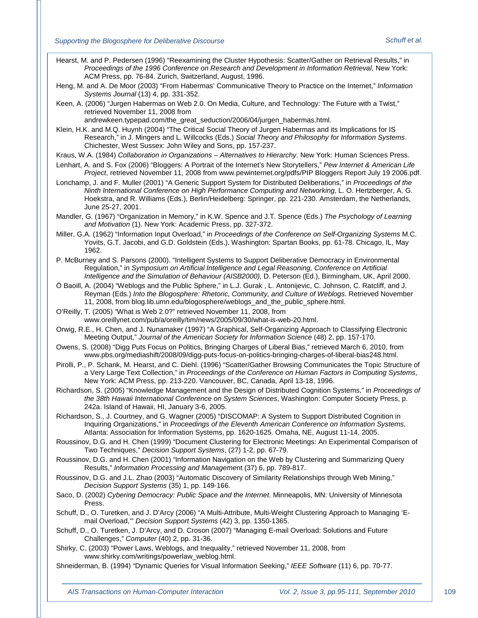Hearst, M. and P. Pedersen (1996) "Reexamining the Cluster Hypothesis: Scatter/Gather on Retrieval Results," in *Proceedings of the 1996 Conference on Research and Development in Information Retrieval*, New York: ACM Press, pp. 76-84. Zurich, Switzerland, August, 1996.

Heng, M. and A. De Moor (2003) "From Habermas' Communicative Theory to Practice on the Internet," *Information Systems Journal* (13) 4, pp. 331-352.

Keen, A. (2006) "Jurgen Habermas on Web 2.0. On Media, Culture, and Technology: The Future with a Twist," retrieved November 11, 2008 from

andrewkeen.typepad.com/the\_great\_seduction/2006/04/jurgen\_habermas.html.

Klein, H.K. and M.Q. Huynh (2004) "The Critical Social Theory of Jurgen Habermas and its Implications for IS Research," in J. Mingers and L. Willcocks (Eds.) *Social Theory and Philosophy for Information Systems*. Chichester, West Sussex: John Wiley and Sons, pp. 157-237.

- Kraus, W.A. (1984) *Collaboration in Organizations – Alternatives to Hierarchy*. New York: Human Sciences Press.
- Lenhart, A. and S. Fox (2006) "Bloggers: A Portrait of the Internet's New Storytellers," *Pew Internet & American Life Project*, retrieved November 11, 2008 from www.pewinternet.org/pdfs/PIP Bloggers Report July 19 2006.pdf.
- Lonchamp, J. and F. Muller (2001) "A Generic Support System for Distributed Deliberations," in *Proceedings of the Ninth International Conference on High Performance Computing and Networking*, L. O. Hertzberger, A. G. Hoekstra, and R. Williams (Eds.), Berlin/Heidelberg: Springer, pp. 221-230. Amsterdam, the Netherlands, June 25-27, 2001.
- Mandler, G. (1967) "Organization in Memory," in K.W. Spence and J.T. Spence (Eds.) *The Psychology of Learning and Motivation* (1). New York: Academic Press, pp. 327-372.
- Miller, G.A. (1962) "Information Input Overload," in *Proceedings of the Conference on Self-Organizing Systems* M.C. Yovits, G.T. Jacobi, and G.D. Goldstein (Eds.), Washington: Spartan Books, pp. 61-78. Chicago, IL, May 1962.
- P. McBurney and S. Parsons (2000). "Intelligent Systems to Support Deliberative Democracy in Environmental Regulation," in *Symposium on Artificial Intelligence and Legal Reasoning, Conference on Artificial Intelligence and the Simulation of Behaviour (AISB2000)*, D. Peterson (Ed.), Birmingham, UK, April 2000.
- Ó Baoill, A. (2004) "Weblogs and the Public Sphere," in L.J. Gurak , L. Antonijevic, C. Johnson, C. Ratcliff, and J. Reyman (Eds.) *Into the Blogosphere: Rhetoric, Community, and Culture of Weblogs*. Retrieved November 11, 2008, from blog.lib.umn.edu/blogosphere/weblogs\_and\_the\_public\_sphere.html.
- O'Reilly, T. (2005) "What is Web 2.0?" retrieved November 11, 2008, from www.oreillynet.com/pub/a/oreilly/tim/news/2005/09/30/what-is-web-20.html.
- Orwig, R.E., H. Chen, and J. Nunamaker (1997) "A Graphical, Self-Organizing Approach to Classifying Electronic Meeting Output," *Journal of the American Society for Information Science* (48) 2, pp. 157-170.
- Owens, S. (2008) "Digg Puts Focus on Politics, Bringing Charges of Liberal Bias," retrieved March 6, 2010, from www.pbs.org/mediashift/2008/09/digg-puts-focus-on-politics-bringing-charges-of-liberal-bias248.html.
- Pirolli, P., P. Schank, M. Hearst, and C. Diehl. (1996) "Scatter/Gather Browsing Communicates the Topic Structure of a Very Large Text Collection," in *Proceedings of the Conference on Human Factors in Computing Systems*, New York: ACM Press, pp. 213-220. Vancouver, BC, Canada, April 13-18, 1996.
- Richardson, S. (2005) "Knowledge Management and the Design of Distributed Cognition Systems," in *Proceedings of the 38th Hawaii International Conference on System Sciences*, Washington: Computer Society Press, p. 242a. Island of Hawaii, HI, January 3-6, 2005.
- Richardson, S., J. Courtney, and G. Wagner (2005) "DISCOMAP: A System to Support Distributed Cognition in Inquiring Organizations," in *Proceedings of the Eleventh American Conference on Information Systems*, Atlanta: Association for Information Systems, pp. 1620-1625. Omaha, NE, August 11-14, 2005.
- Roussinov, D.G. and H. Chen (1999) "Document Clustering for Electronic Meetings: An Experimental Comparison of Two Techniques," *Decision Support Systems*, (27) 1-2, pp. 67-79.
- Roussinov, D.G. and H. Chen (2001) "Information Navigation on the Web by Clustering and Summarizing Query Results," *Information Processing and Manageme*nt (37) 6, pp. 789-817.
- Roussinov, D.G. and J.L. Zhao (2003) "Automatic Discovery of Similarity Relationships through Web Mining," *Decision Support Systems* (35) 1, pp. 149-166.
- Saco, D. (2002) *Cybering Democracy: Public Space and the Internet*. Minneapolis, MN: University of Minnesota Press.
- Schuff, D., O. Turetken, and J. D'Arcy (2006) "A Multi-Attribute, Multi-Weight Clustering Approach to Managing 'Email Overload,'" *Decision Support Systems* (42) 3, pp. 1350-1365.
- Schuff, D., O. Turetken, J. D'Arcy, and D. Croson (2007) "Managing E-mail Overload: Solutions and Future Challenges," *Computer* (40) 2, pp. 31-36.
- Shirky, C. (2003) "Power Laws, Weblogs, and Inequality," retrieved November 11, 2008, from www.shirky.com/writings/powerlaw\_weblog.html.

Shneiderman, B. (1994) "Dynamic Queries for Visual Information Seeking," *IEEE Software* (11) 6, pp. 70-77.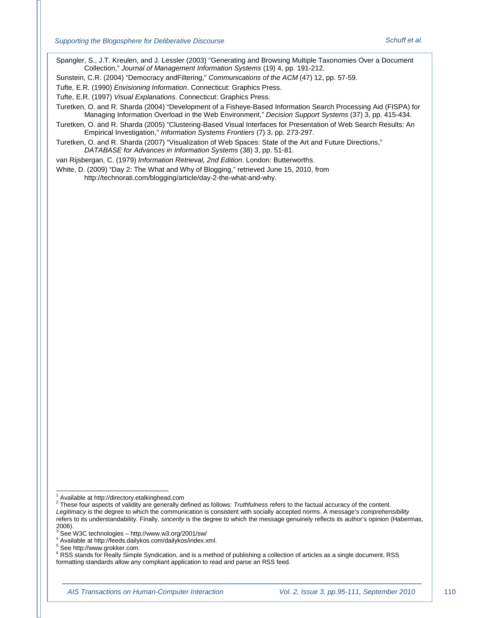Spangler, S., J.T. Kreulen, and J. Lessler (2003) "Generating and Browsing Multiple Taxonomies Over a Document Collection," *Journal of Management Information Systems* (19) 4, pp. 191-212.

Sunstein, C.R. (2004) "Democracy andFiltering," *Communications of the ACM* (47) 12, pp. 57-59.

Tufte, E.R. (1990) *Envisioning Information*. Connecticut: Graphics Press.

Tufte, E.R. (1997) *Visual Explanations*. Connecticut: Graphics Press.

Turetken, O. and R. Sharda (2004) "Development of a Fisheye-Based Information Search Processing Aid (FISPA) for Managing Information Overload in the Web Environment," *Decision Support Systems* (37) 3, pp. 415-434.

Turetken, O. and R. Sharda (2005) "Clustering-Based Visual Interfaces for Presentation of Web Search Results: An Empirical Investigation," *Information Systems Frontiers* (7) 3, pp. 273-297.

Turetken, O. and R. Sharda (2007) "Visualization of Web Spaces: State of the Art and Future Directions," *DATABASE for Advances in Information Systems* (38) 3, pp. 51-81.

van Rijsbergan, C. (1979) *Information Retrieval, 2nd Edition*. London: Butterworths.

White, D. (2009) "Day 2: The What and Why of Blogging," retrieved June 15, 2010, from http://technorati.com/blogging/article/day-2-the-what-and-why.

 <sup>1</sup> Available at http://directory.etalkinghead.com

<span id="page-16-0"></span><sup>2</sup> These four aspects of validity are generally defined as follows: *Truthfulness* refers to the factual accuracy of the content. *Legitimacy* is the degree to which the communication is consistent with socially accepted norms. A message's *comprehensibility* refers to its understandability. Finally, *sincerity* is the degree to which the message genuinely reflects its author's opinion (Habermas,

<sup>2006).&</sup>lt;br><sup>3</sup> See W3C technologies – http://www.w3.org/2001/sw/

 $^4$  Available at http://feeds.dailykos.com/dailykos/index.xml.<br><sup>5</sup> See http://www.grokker.com.

<sup>&</sup>lt;sup>6</sup> RSS stands for Really Simple Syndication, and is a method of publishing a collection of articles as a single document. RSS formatting standards allow any compliant application to read and parse an RSS feed.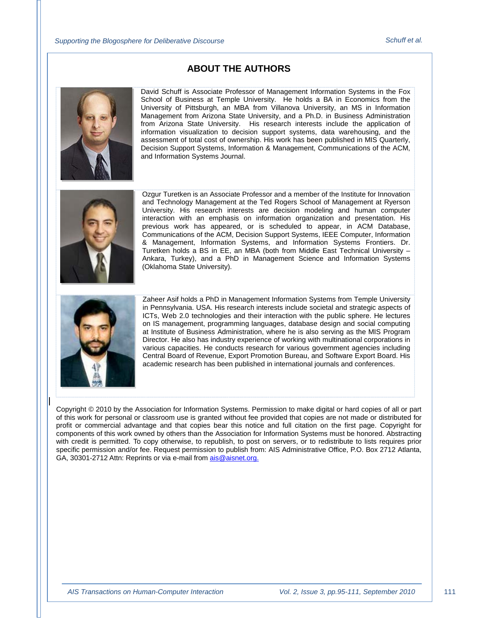## **ABOUT THE AUTHORS**



David Schuff is Associate Professor of Management Information Systems in the Fox School of Business at Temple University. He holds a BA in Economics from the University of Pittsburgh, an MBA from Villanova University, an MS in Information Management from Arizona State University, and a Ph.D. in Business Administration from Arizona State University. His research interests include the application of information visualization to decision support systems, data warehousing, and the assessment of total cost of ownership. His work has been published in MIS Quarterly, Decision Support Systems, Information & Management, Communications of the ACM, and Information Systems Journal.



Ozgur Turetken is an Associate Professor and a member of the Institute for Innovation and Technology Management at the Ted Rogers School of Management at Ryerson University. His research interests are decision modeling and human computer interaction with an emphasis on information organization and presentation. His previous work has appeared, or is scheduled to appear, in ACM Database, Communications of the ACM, Decision Support Systems, IEEE Computer, Information & Management, Information Systems, and Information Systems Frontiers. Dr. Turetken holds a BS in EE, an MBA (both from Middle East Technical University – Ankara, Turkey), and a PhD in Management Science and Information Systems (Oklahoma State University).



Zaheer Asif holds a PhD in Management Information Systems from Temple University in Pennsylvania. USA. His research interests include societal and strategic aspects of ICTs, Web 2.0 technologies and their interaction with the public sphere. He lectures on IS management, programming languages, database design and social computing at Institute of Business Administration, where he is also serving as the MIS Program Director. He also has industry experience of working with multinational corporations in various capacities. He conducts research for various government agencies including Central Board of Revenue, Export Promotion Bureau, and Software Export Board. His academic research has been published in international journals and conferences.

Copyright © 2010 by the Association for Information Systems. Permission to make digital or hard copies of all or part of this work for personal or classroom use is granted without fee provided that copies are not made or distributed for profit or commercial advantage and that copies bear this notice and full citation on the first page. Copyright for components of this work owned by others than the Association for Information Systems must be honored. Abstracting with credit is permitted. To copy otherwise, to republish, to post on servers, or to redistribute to lists requires prior specific permission and/or fee. Request permission to publish from: AIS Administrative Office, P.O. Box 2712 Atlanta, GA, 30301-2712 Attn: Reprints or via e-mail from [ais@aisnet.org.](mailto:ais@gsu.edu)